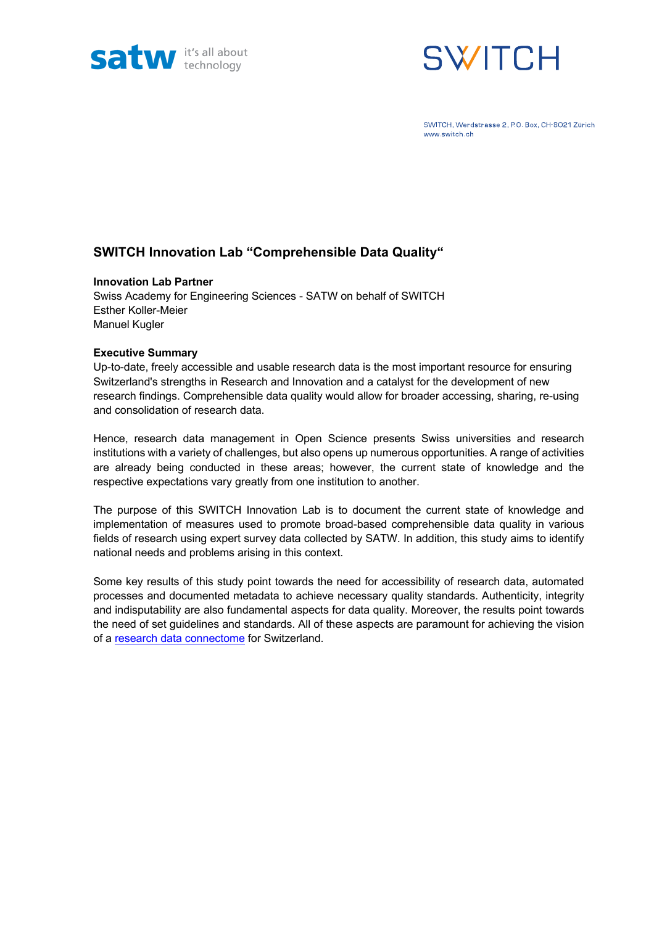



SWITCH, Werdstrasse 2, P.O. Box, CH-8021 Zürich www.switch.ch

## **SWITCH Innovation Lab "Comprehensible Data Quality"**

#### **Innovation Lab Partner**

Swiss Academy for Engineering Sciences - SATW on behalf of SWITCH Esther Koller-Meier Manuel Kugler

#### **Executive Summary**

Up-to-date, freely accessible and usable research data is the most important resource for ensuring Switzerland's strengths in Research and Innovation and a catalyst for the development of new research findings. Comprehensible data quality would allow for broader accessing, sharing, re-using and consolidation of research data.

Hence, research data management in Open Science presents Swiss universities and research institutions with a variety of challenges, but also opens up numerous opportunities. A range of activities are already being conducted in these areas; however, the current state of knowledge and the respective expectations vary greatly from one institution to another.

The purpose of this SWITCH Innovation Lab is to document the current state of knowledge and implementation of measures used to promote broad-based comprehensible data quality in various fields of research using expert survey data collected by SATW. In addition, this study aims to identify national needs and problems arising in this context.

Some key results of this study point towards the need for accessibility of research data, automated processes and documented metadata to achieve necessary quality standards. Authenticity, integrity and indisputability are also fundamental aspects for data quality. Moreover, the results point towards the need of set guidelines and standards. All of these aspects are paramount for achieving the vision of a research data connectome for Switzerland.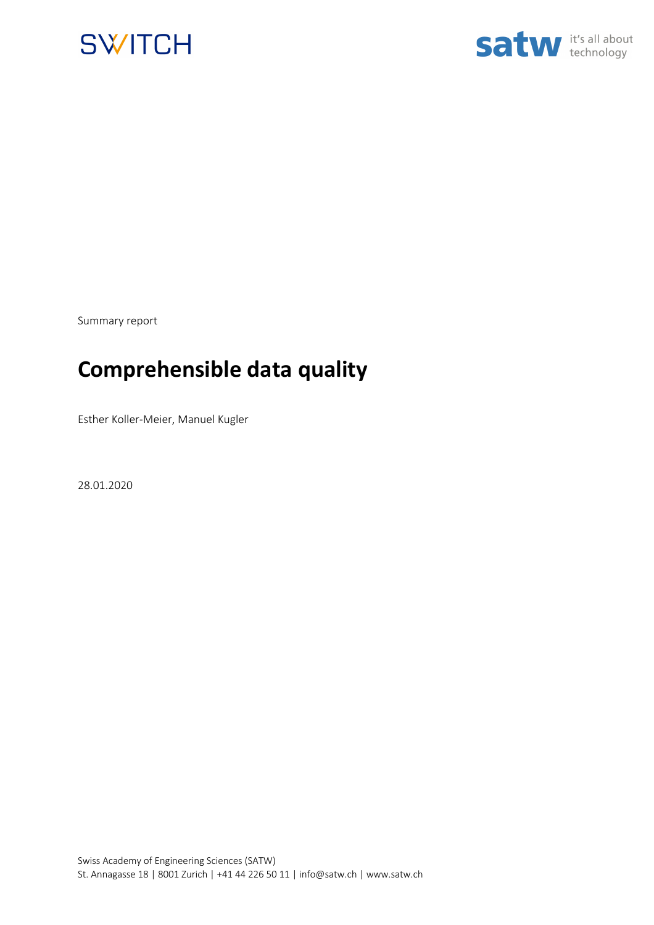



Summary report

# **Comprehensible data quality**

Esther Koller-Meier, Manuel Kugler

28.01.2020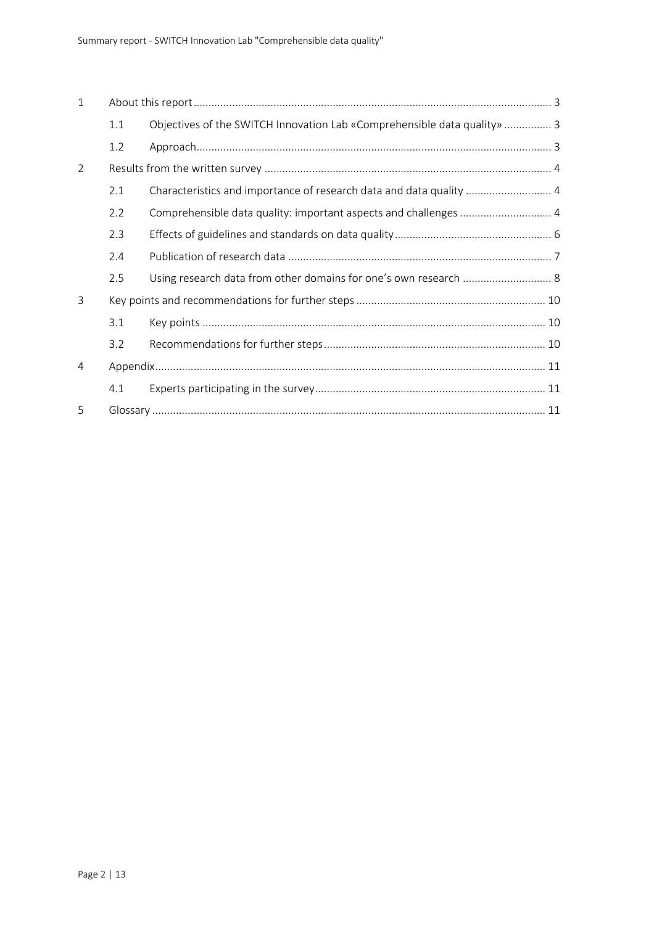| $\mathbf{1}$ |     |                                                                          |  |  |
|--------------|-----|--------------------------------------------------------------------------|--|--|
|              | 1.1 | Objectives of the SWITCH Innovation Lab «Comprehensible data quality»  3 |  |  |
|              | 1.2 |                                                                          |  |  |
| 2            |     |                                                                          |  |  |
|              | 2.1 | Characteristics and importance of research data and data quality  4      |  |  |
|              | 2.2 |                                                                          |  |  |
|              | 2.3 |                                                                          |  |  |
|              | 2.4 |                                                                          |  |  |
|              | 2.5 | Using research data from other domains for one's own research  8         |  |  |
| 3            |     |                                                                          |  |  |
|              | 3.1 |                                                                          |  |  |
|              | 3.2 |                                                                          |  |  |
| 4            |     |                                                                          |  |  |
|              | 4.1 |                                                                          |  |  |
| 5            |     |                                                                          |  |  |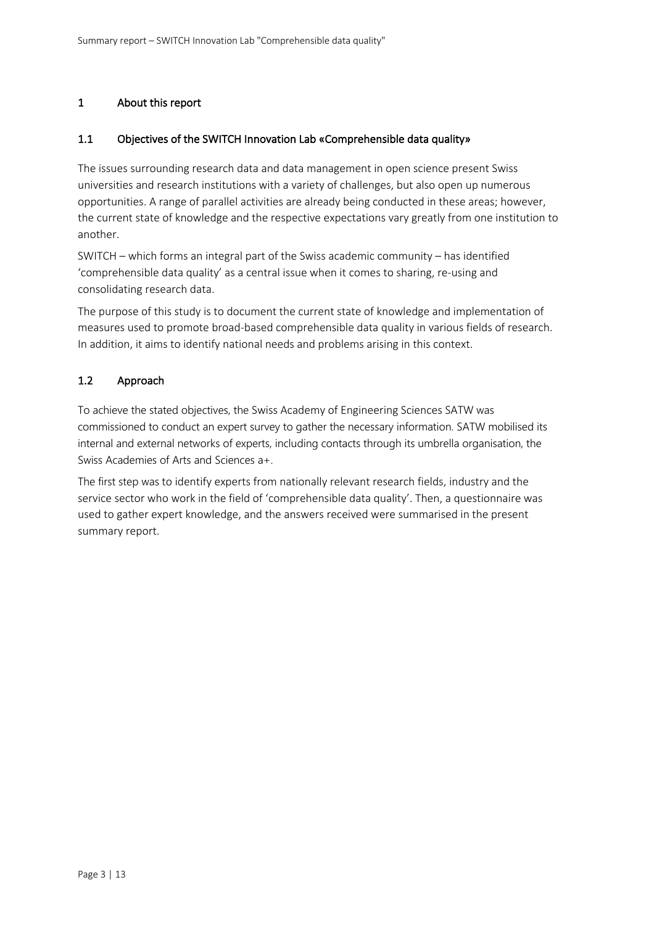## 1 About this report

#### 1.1 Objectives of the SWITCH Innovation Lab «Comprehensible data quality»

The issues surrounding research data and data management in open science present Swiss universities and research institutions with a variety of challenges, but also open up numerous opportunities. A range of parallel activities are already being conducted in these areas; however, the current state of knowledge and the respective expectations vary greatly from one institution to another.

SWITCH – which forms an integral part of the Swiss academic community – has identified 'comprehensible data quality' as a central issue when it comes to sharing, re-using and consolidating research data.

The purpose of this study is to document the current state of knowledge and implementation of measures used to promote broad-based comprehensible data quality in various fields of research. In addition, it aims to identify national needs and problems arising in this context.

#### 1.2 Approach

To achieve the stated objectives, the Swiss Academy of Engineering Sciences SATW was commissioned to conduct an expert survey to gather the necessary information. SATW mobilised its internal and external networks of experts, including contacts through its umbrella organisation, the Swiss Academies of Arts and Sciences a+.

The first step was to identify experts from nationally relevant research fields, industry and the service sector who work in the field of 'comprehensible data quality'. Then, a questionnaire was used to gather expert knowledge, and the answers received were summarised in the present summary report.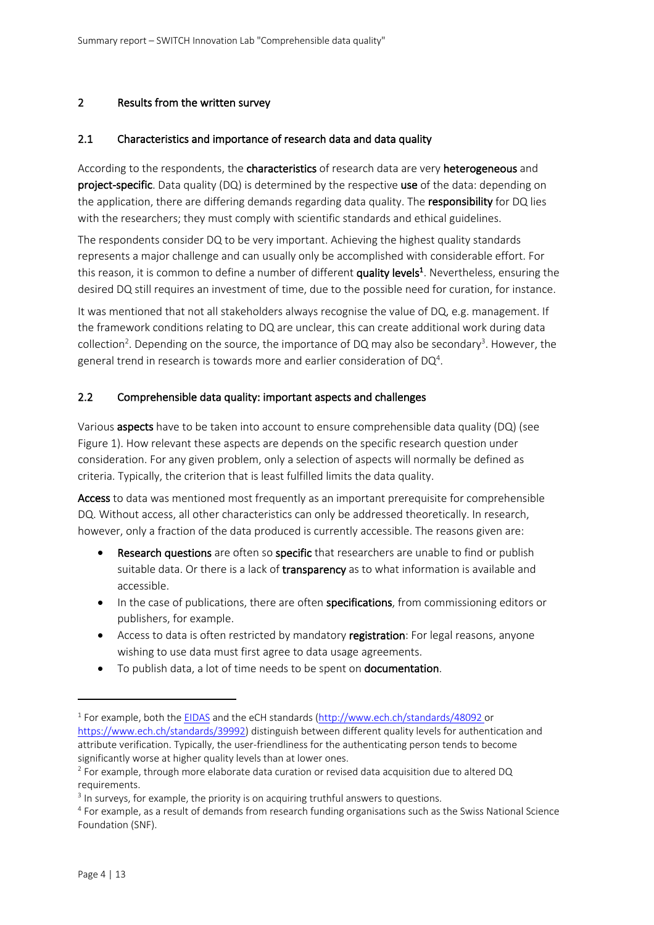#### 2 Results from the written survey

#### 2.1 Characteristics and importance of research data and data quality

According to the respondents, the **characteristics** of research data are very **heterogeneous** and project-specific. Data quality (DQ) is determined by the respective use of the data: depending on the application, there are differing demands regarding data quality. The responsibility for DQ lies with the researchers; they must comply with scientific standards and ethical guidelines.

The respondents consider DQ to be very important. Achieving the highest quality standards represents a major challenge and can usually only be accomplished with considerable effort. For this reason, it is common to define a number of different quality levels<sup>1</sup>. Nevertheless, ensuring the desired DQ still requires an investment of time, due to the possible need for curation, for instance.

It was mentioned that not all stakeholders always recognise the value of DQ, e.g. management. If the framework conditions relating to DQ are unclear, this can create additional work during data collection<sup>2</sup>. Depending on the source, the importance of DQ may also be secondary<sup>3</sup>. However, the general trend in research is towards more and earlier consideration of DQ<sup>4</sup>.

#### 2.2 Comprehensible data quality: important aspects and challenges

Various aspects have to be taken into account to ensure comprehensible data quality (DQ) (see Figure 1). How relevant these aspects are depends on the specific research question under consideration. For any given problem, only a selection of aspects will normally be defined as criteria. Typically, the criterion that is least fulfilled limits the data quality.

Access to data was mentioned most frequently as an important prerequisite for comprehensible DQ. Without access, all other characteristics can only be addressed theoretically. In research, however, only a fraction of the data produced is currently accessible. The reasons given are:

- Research questions are often so specific that researchers are unable to find or publish suitable data. Or there is a lack of transparency as to what information is available and accessible.
- In the case of publications, there are often specifications, from commissioning editors or publishers, for example.
- Access to data is often restricted by mandatory registration: For legal reasons, anyone wishing to use data must first agree to data usage agreements.
- To publish data, a lot of time needs to be spent on **documentation**.

 $1$  For example, both the EIDAS and the eCH standards (http://www.ech.ch/standards/48092 or https://www.ech.ch/standards/39992) distinguish between different quality levels for authentication and attribute verification. Typically, the user-friendliness for the authenticating person tends to become significantly worse at higher quality levels than at lower ones.

<sup>&</sup>lt;sup>2</sup> For example, through more elaborate data curation or revised data acquisition due to altered DQ requirements.

<sup>&</sup>lt;sup>3</sup> In surveys, for example, the priority is on acquiring truthful answers to questions.

<sup>4</sup> For example, as a result of demands from research funding organisations such as the Swiss National Science Foundation (SNF).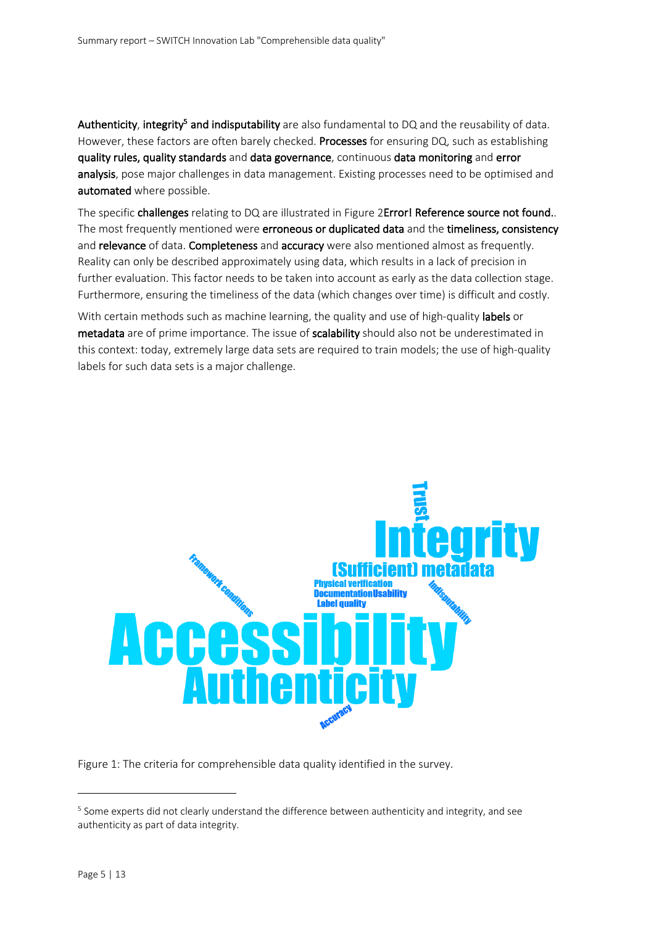Authenticity, integrity<sup>5</sup> and indisputability are also fundamental to DQ and the reusability of data. However, these factors are often barely checked. Processes for ensuring DQ, such as establishing quality rules, quality standards and data governance, continuous data monitoring and error analysis, pose major challenges in data management. Existing processes need to be optimised and automated where possible.

The specific challenges relating to DQ are illustrated in Figure 2Error! Reference source not found.. The most frequently mentioned were erroneous or duplicated data and the timeliness, consistency and relevance of data. Completeness and accuracy were also mentioned almost as frequently. Reality can only be described approximately using data, which results in a lack of precision in further evaluation. This factor needs to be taken into account as early as the data collection stage. Furthermore, ensuring the timeliness of the data (which changes over time) is difficult and costly.

With certain methods such as machine learning, the quality and use of high-quality labels or metadata are of prime importance. The issue of scalability should also not be underestimated in this context: today, extremely large data sets are required to train models; the use of high-quality labels for such data sets is a major challenge.



Figure 1: The criteria for comprehensible data quality identified in the survey.

<sup>&</sup>lt;sup>5</sup> Some experts did not clearly understand the difference between authenticity and integrity, and see authenticity as part of data integrity.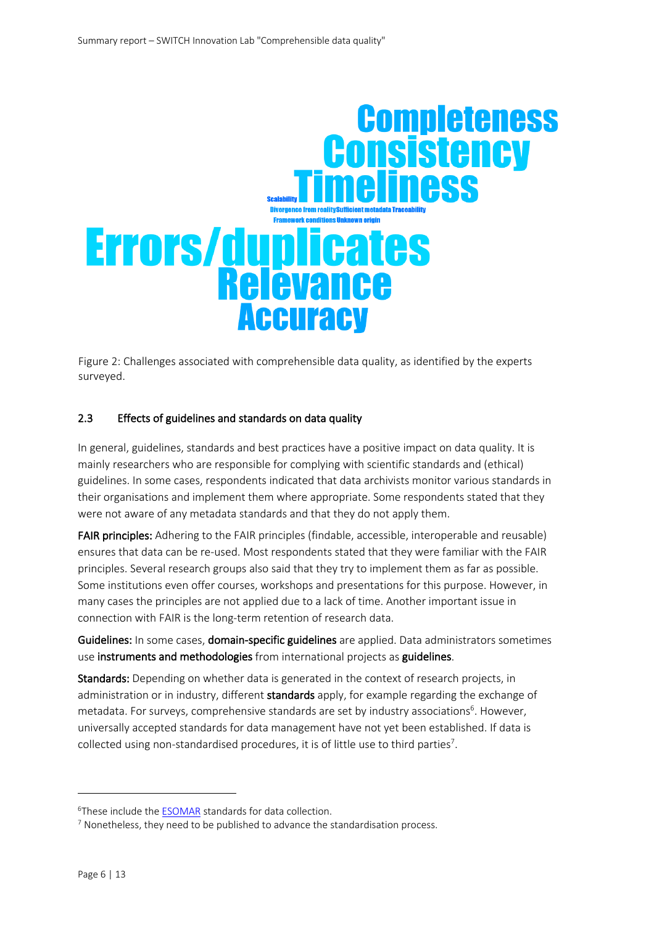

Figure 2: Challenges associated with comprehensible data quality, as identified by the experts surveyed.

## 2.3 Effects of guidelines and standards on data quality

In general, guidelines, standards and best practices have a positive impact on data quality. It is mainly researchers who are responsible for complying with scientific standards and (ethical) guidelines. In some cases, respondents indicated that data archivists monitor various standards in their organisations and implement them where appropriate. Some respondents stated that they were not aware of any metadata standards and that they do not apply them.

FAIR principles: Adhering to the FAIR principles (findable, accessible, interoperable and reusable) ensures that data can be re-used. Most respondents stated that they were familiar with the FAIR principles. Several research groups also said that they try to implement them as far as possible. Some institutions even offer courses, workshops and presentations for this purpose. However, in many cases the principles are not applied due to a lack of time. Another important issue in connection with FAIR is the long-term retention of research data.

Guidelines: In some cases, domain-specific guidelines are applied. Data administrators sometimes use instruments and methodologies from international projects as guidelines.

Standards: Depending on whether data is generated in the context of research projects, in administration or in industry, different standards apply, for example regarding the exchange of metadata. For surveys, comprehensive standards are set by industry associations<sup>6</sup>. However, universally accepted standards for data management have not yet been established. If data is collected using non-standardised procedures, it is of little use to third parties<sup>7</sup>.

<sup>&</sup>lt;sup>6</sup>These include the **ESOMAR** standards for data collection.

<sup>&</sup>lt;sup>7</sup> Nonetheless, they need to be published to advance the standardisation process.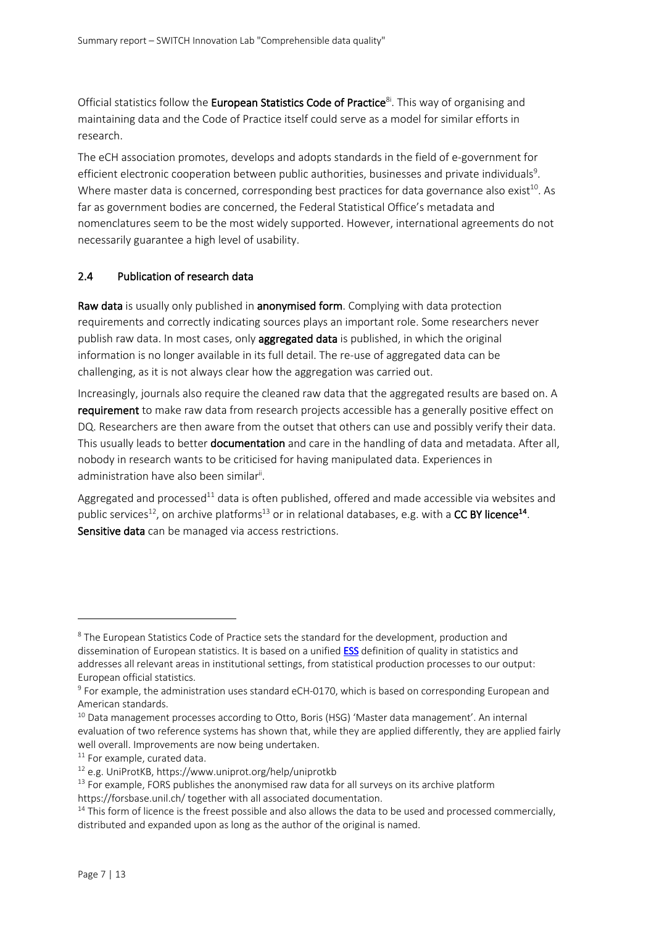Official statistics follow the European Statistics Code of Practice<sup>81</sup>. This way of organising and maintaining data and the Code of Practice itself could serve as a model for similar efforts in research.

The eCH association promotes, develops and adopts standards in the field of e-government for efficient electronic cooperation between public authorities, businesses and private individuals<sup>9</sup>. Where master data is concerned, corresponding best practices for data governance also exist<sup>10</sup>. As far as government bodies are concerned, the Federal Statistical Office's metadata and nomenclatures seem to be the most widely supported. However, international agreements do not necessarily guarantee a high level of usability.

#### 2.4 Publication of research data

Raw data is usually only published in anonymised form. Complying with data protection requirements and correctly indicating sources plays an important role. Some researchers never publish raw data. In most cases, only **aggregated data** is published, in which the original information is no longer available in its full detail. The re-use of aggregated data can be challenging, as it is not always clear how the aggregation was carried out.

Increasingly, journals also require the cleaned raw data that the aggregated results are based on. A requirement to make raw data from research projects accessible has a generally positive effect on DQ. Researchers are then aware from the outset that others can use and possibly verify their data. This usually leads to better **documentation** and care in the handling of data and metadata. After all, nobody in research wants to be criticised for having manipulated data. Experiences in administration have also been similar<sup>ii</sup>.

Aggregated and processed<sup>11</sup> data is often published, offered and made accessible via websites and public services<sup>12</sup>, on archive platforms<sup>13</sup> or in relational databases, e.g. with a **CC BY licence<sup>14</sup>**. Sensitive data can be managed via access restrictions.

<sup>&</sup>lt;sup>8</sup> The European Statistics Code of Practice sets the standard for the development, production and dissemination of European statistics. It is based on a unified **ESS** definition of quality in statistics and addresses all relevant areas in institutional settings, from statistical production processes to our output: European official statistics.

<sup>9</sup> For example, the administration uses standard eCH-0170, which is based on corresponding European and American standards.

<sup>&</sup>lt;sup>10</sup> Data management processes according to Otto, Boris (HSG) 'Master data management'. An internal evaluation of two reference systems has shown that, while they are applied differently, they are applied fairly well overall. Improvements are now being undertaken.

 $11$  For example, curated data.

<sup>12</sup> e.g. UniProtKB, https://www.uniprot.org/help/uniprotkb

 $13$  For example, FORS publishes the anonymised raw data for all surveys on its archive platform https://forsbase.unil.ch/ together with all associated documentation.

 $14$  This form of licence is the freest possible and also allows the data to be used and processed commercially,

distributed and expanded upon as long as the author of the original is named.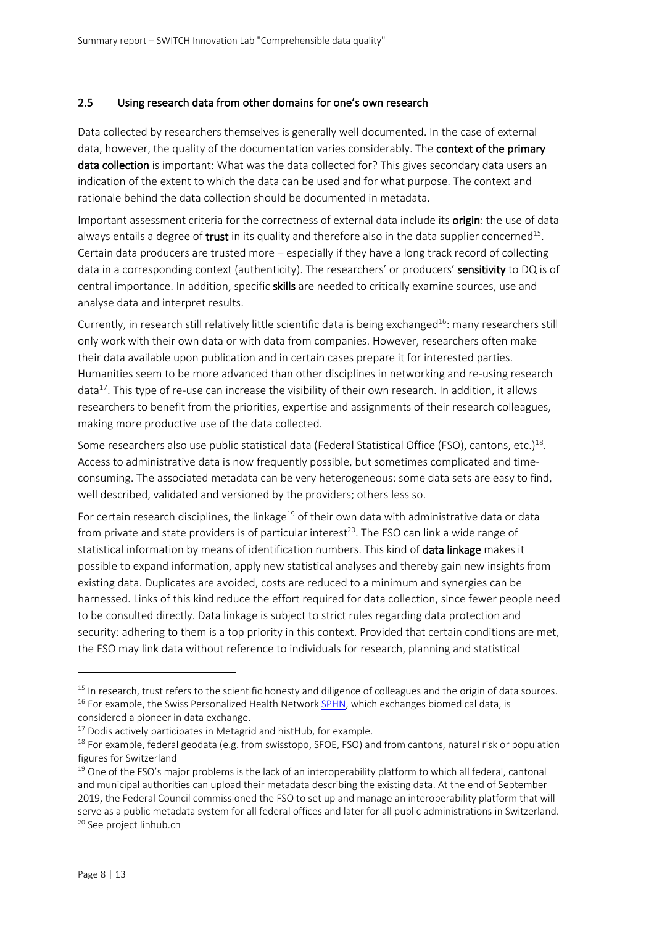#### 2.5 Using research data from other domains for one's own research

Data collected by researchers themselves is generally well documented. In the case of external data, however, the quality of the documentation varies considerably. The **context of the primary** data collection is important: What was the data collected for? This gives secondary data users an indication of the extent to which the data can be used and for what purpose. The context and rationale behind the data collection should be documented in metadata.

Important assessment criteria for the correctness of external data include its origin: the use of data always entails a degree of **trust** in its quality and therefore also in the data supplier concerned<sup>15</sup>. Certain data producers are trusted more – especially if they have a long track record of collecting data in a corresponding context (authenticity). The researchers' or producers' sensitivity to DQ is of central importance. In addition, specific skills are needed to critically examine sources, use and analyse data and interpret results.

Currently, in research still relatively little scientific data is being exchanged<sup>16</sup>: many researchers still only work with their own data or with data from companies. However, researchers often make their data available upon publication and in certain cases prepare it for interested parties. Humanities seem to be more advanced than other disciplines in networking and re-using research data<sup>17</sup>. This type of re-use can increase the visibility of their own research. In addition, it allows researchers to benefit from the priorities, expertise and assignments of their research colleagues, making more productive use of the data collected.

Some researchers also use public statistical data (Federal Statistical Office (FSO), cantons, etc.)<sup>18</sup>. Access to administrative data is now frequently possible, but sometimes complicated and timeconsuming. The associated metadata can be very heterogeneous: some data sets are easy to find, well described, validated and versioned by the providers; others less so.

For certain research disciplines, the linkage<sup>19</sup> of their own data with administrative data or data from private and state providers is of particular interest<sup>20</sup>. The FSO can link a wide range of statistical information by means of identification numbers. This kind of **data linkage** makes it possible to expand information, apply new statistical analyses and thereby gain new insights from existing data. Duplicates are avoided, costs are reduced to a minimum and synergies can be harnessed. Links of this kind reduce the effort required for data collection, since fewer people need to be consulted directly. Data linkage is subject to strict rules regarding data protection and security: adhering to them is a top priority in this context. Provided that certain conditions are met, the FSO may link data without reference to individuals for research, planning and statistical

<sup>&</sup>lt;sup>15</sup> In research, trust refers to the scientific honesty and diligence of colleagues and the origin of data sources.

 $16$  For example, the Swiss Personalized Health Network SPHN, which exchanges biomedical data, is

considered a pioneer in data exchange.

 $17$  Dodis actively participates in Metagrid and histHub, for example.

 $18$  For example, federal geodata (e.g. from swisstopo, SFOE, FSO) and from cantons, natural risk or population figures for Switzerland

 $19$  One of the FSO's major problems is the lack of an interoperability platform to which all federal, cantonal and municipal authorities can upload their metadata describing the existing data. At the end of September 2019, the Federal Council commissioned the FSO to set up and manage an interoperability platform that will serve as a public metadata system for all federal offices and later for all public administrations in Switzerland. <sup>20</sup> See project linhub.ch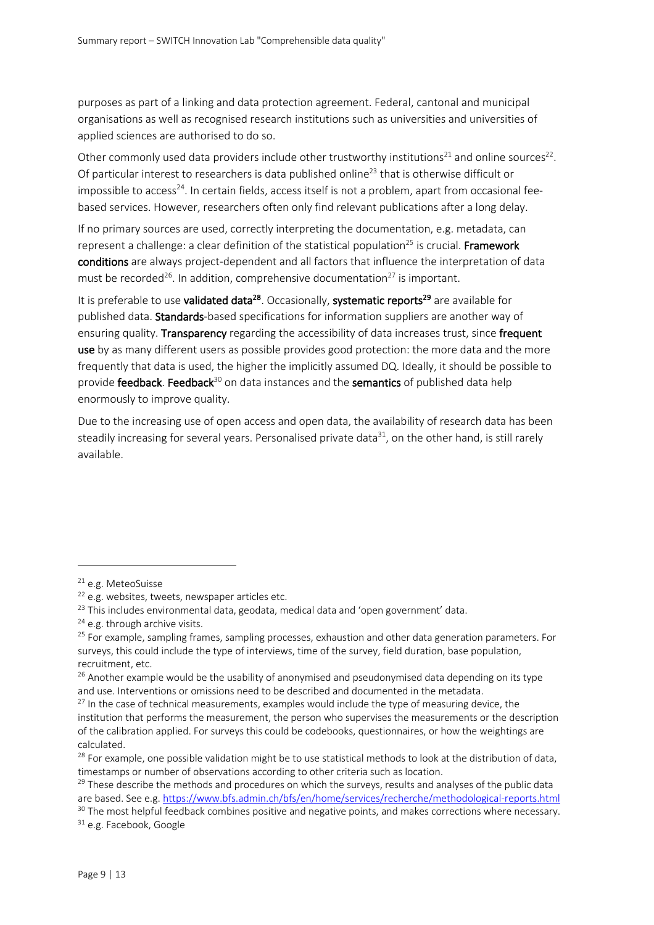purposes as part of a linking and data protection agreement. Federal, cantonal and municipal organisations as well as recognised research institutions such as universities and universities of applied sciences are authorised to do so.

Other commonly used data providers include other trustworthy institutions<sup>21</sup> and online sources<sup>22</sup>. Of particular interest to researchers is data published online<sup>23</sup> that is otherwise difficult or impossible to access<sup>24</sup>. In certain fields, access itself is not a problem, apart from occasional feebased services. However, researchers often only find relevant publications after a long delay.

If no primary sources are used, correctly interpreting the documentation, e.g. metadata, can represent a challenge: a clear definition of the statistical population<sup>25</sup> is crucial. Framework conditions are always project-dependent and all factors that influence the interpretation of data must be recorded<sup>26</sup>. In addition, comprehensive documentation<sup>27</sup> is important.

It is preferable to use **validated data<sup>28</sup>**. Occasionally, **systematic reports<sup>29</sup>** are available for published data. Standards-based specifications for information suppliers are another way of ensuring quality. Transparency regarding the accessibility of data increases trust, since frequent use by as many different users as possible provides good protection: the more data and the more frequently that data is used, the higher the implicitly assumed DQ. Ideally, it should be possible to provide **feedback**. Feedback<sup>30</sup> on data instances and the semantics of published data help enormously to improve quality.

Due to the increasing use of open access and open data, the availability of research data has been steadily increasing for several years. Personalised private data $31$ , on the other hand, is still rarely available.

<sup>31</sup> e.g. Facebook, Google

<sup>21</sup> e.g. MeteoSuisse

 $22$  e.g. websites, tweets, newspaper articles etc.

<sup>&</sup>lt;sup>23</sup> This includes environmental data, geodata, medical data and 'open government' data.

 $24$  e.g. through archive visits.

<sup>&</sup>lt;sup>25</sup> For example, sampling frames, sampling processes, exhaustion and other data generation parameters. For surveys, this could include the type of interviews, time of the survey, field duration, base population, recruitment, etc.

 $26$  Another example would be the usability of anonymised and pseudonymised data depending on its type and use. Interventions or omissions need to be described and documented in the metadata.

 $27$  In the case of technical measurements, examples would include the type of measuring device, the institution that performs the measurement, the person who supervises the measurements or the description of the calibration applied. For surveys this could be codebooks, questionnaires, or how the weightings are calculated.

<sup>&</sup>lt;sup>28</sup> For example, one possible validation might be to use statistical methods to look at the distribution of data, timestamps or number of observations according to other criteria such as location.

 $29$  These describe the methods and procedures on which the surveys, results and analyses of the public data are based. See e.g. https://www.bfs.admin.ch/bfs/en/home/services/recherche/methodological-reports.html

<sup>&</sup>lt;sup>30</sup> The most helpful feedback combines positive and negative points, and makes corrections where necessary.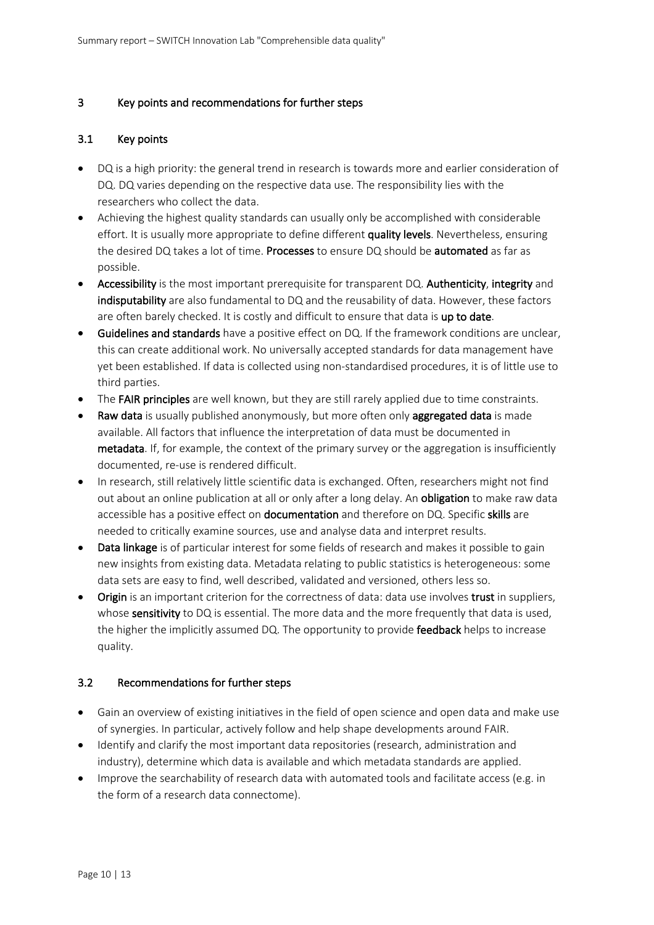## 3 Key points and recommendations for further steps

#### 3.1 Key points

- DQ is a high priority: the general trend in research is towards more and earlier consideration of DQ. DQ varies depending on the respective data use. The responsibility lies with the researchers who collect the data.
- Achieving the highest quality standards can usually only be accomplished with considerable effort. It is usually more appropriate to define different quality levels. Nevertheless, ensuring the desired DQ takes a lot of time. Processes to ensure DQ should be automated as far as possible.
- Accessibility is the most important prerequisite for transparent DQ. Authenticity, integrity and indisputability are also fundamental to DQ and the reusability of data. However, these factors are often barely checked. It is costly and difficult to ensure that data is up to date.
- Guidelines and standards have a positive effect on DQ. If the framework conditions are unclear, this can create additional work. No universally accepted standards for data management have yet been established. If data is collected using non-standardised procedures, it is of little use to third parties.
- The FAIR principles are well known, but they are still rarely applied due to time constraints.
- Raw data is usually published anonymously, but more often only aggregated data is made available. All factors that influence the interpretation of data must be documented in metadata. If, for example, the context of the primary survey or the aggregation is insufficiently documented, re-use is rendered difficult.
- In research, still relatively little scientific data is exchanged. Often, researchers might not find out about an online publication at all or only after a long delay. An **obligation** to make raw data accessible has a positive effect on **documentation** and therefore on DQ. Specific **skills** are needed to critically examine sources, use and analyse data and interpret results.
- Data linkage is of particular interest for some fields of research and makes it possible to gain new insights from existing data. Metadata relating to public statistics is heterogeneous: some data sets are easy to find, well described, validated and versioned, others less so.
- Origin is an important criterion for the correctness of data: data use involves trust in suppliers, whose sensitivity to DQ is essential. The more data and the more frequently that data is used, the higher the implicitly assumed DQ. The opportunity to provide feedback helps to increase quality.

## 3.2 Recommendations for further steps

- Gain an overview of existing initiatives in the field of open science and open data and make use of synergies. In particular, actively follow and help shape developments around FAIR.
- Identify and clarify the most important data repositories (research, administration and industry), determine which data is available and which metadata standards are applied.
- Improve the searchability of research data with automated tools and facilitate access (e.g. in the form of a research data connectome).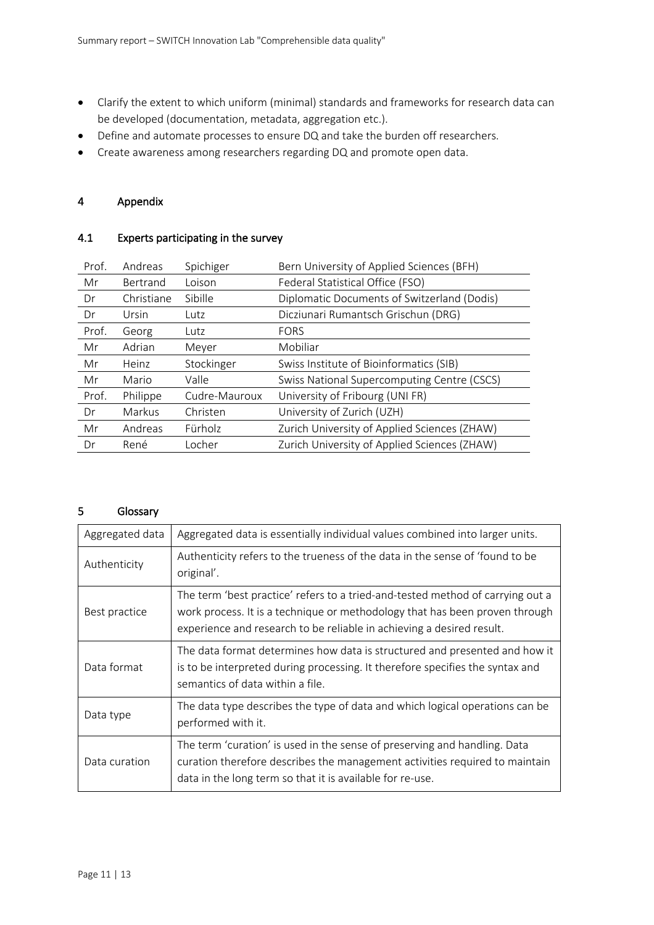- Clarify the extent to which uniform (minimal) standards and frameworks for research data can be developed (documentation, metadata, aggregation etc.).
- Define and automate processes to ensure DQ and take the burden off researchers.
- Create awareness among researchers regarding DQ and promote open data.

#### 4 Appendix

## 4.1 Experts participating in the survey

| Prof. | Andreas    | Spichiger     | Bern University of Applied Sciences (BFH)    |
|-------|------------|---------------|----------------------------------------------|
| Mr    | Bertrand   | Loison        | Federal Statistical Office (FSO)             |
| Dr    | Christiane | Sibille       | Diplomatic Documents of Switzerland (Dodis)  |
| Dr    | Ursin      | Lutz          | Dicziunari Rumantsch Grischun (DRG)          |
| Prof. | Georg      | Lutz          | <b>FORS</b>                                  |
| Mr    | Adrian     | Meyer         | Mobiliar                                     |
| Mr    | Heinz      | Stockinger    | Swiss Institute of Bioinformatics (SIB)      |
| Mr    | Mario      | Valle         | Swiss National Supercomputing Centre (CSCS)  |
| Prof. | Philippe   | Cudre-Mauroux | University of Fribourg (UNI FR)              |
| Dr    | Markus     | Christen      | University of Zurich (UZH)                   |
| Mr    | Andreas    | Fürholz       | Zurich University of Applied Sciences (ZHAW) |
| Dr    | René       | Locher        | Zurich University of Applied Sciences (ZHAW) |

#### 5 Glossary

| Aggregated data | Aggregated data is essentially individual values combined into larger units.                                                                                                                                                           |
|-----------------|----------------------------------------------------------------------------------------------------------------------------------------------------------------------------------------------------------------------------------------|
| Authenticity    | Authenticity refers to the trueness of the data in the sense of 'found to be<br>original'.                                                                                                                                             |
| Best practice   | The term 'best practice' refers to a tried-and-tested method of carrying out a<br>work process. It is a technique or methodology that has been proven through<br>experience and research to be reliable in achieving a desired result. |
| Data format     | The data format determines how data is structured and presented and how it<br>is to be interpreted during processing. It therefore specifies the syntax and<br>semantics of data within a file.                                        |
| Data type       | The data type describes the type of data and which logical operations can be<br>performed with it.                                                                                                                                     |
| Data curation   | The term 'curation' is used in the sense of preserving and handling. Data<br>curation therefore describes the management activities required to maintain<br>data in the long term so that it is available for re-use.                  |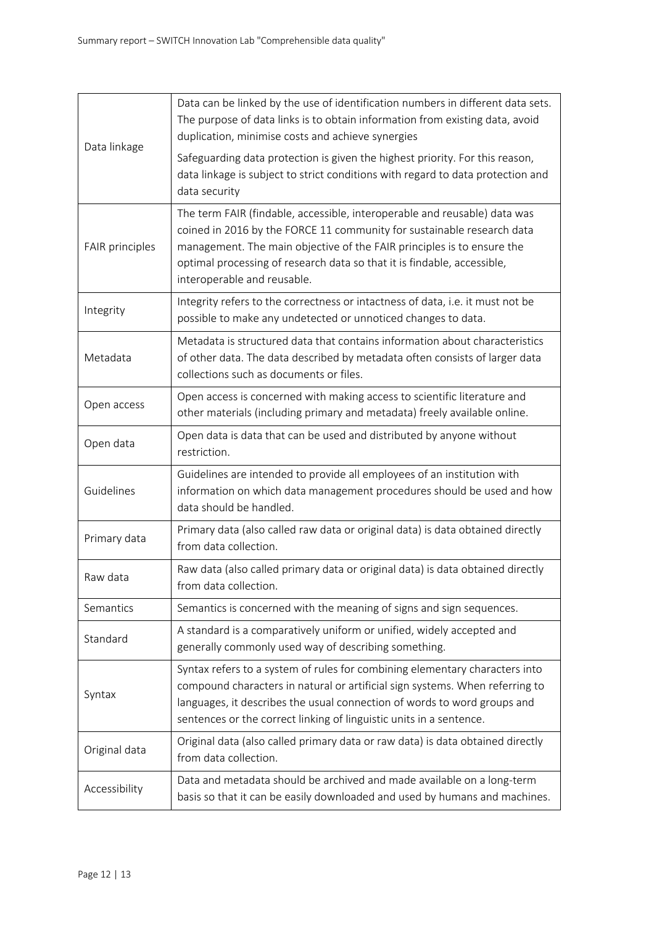|                 | Data can be linked by the use of identification numbers in different data sets.<br>The purpose of data links is to obtain information from existing data, avoid<br>duplication, minimise costs and achieve synergies                                                                                                                    |
|-----------------|-----------------------------------------------------------------------------------------------------------------------------------------------------------------------------------------------------------------------------------------------------------------------------------------------------------------------------------------|
| Data linkage    | Safeguarding data protection is given the highest priority. For this reason,<br>data linkage is subject to strict conditions with regard to data protection and<br>data security                                                                                                                                                        |
| FAIR principles | The term FAIR (findable, accessible, interoperable and reusable) data was<br>coined in 2016 by the FORCE 11 community for sustainable research data<br>management. The main objective of the FAIR principles is to ensure the<br>optimal processing of research data so that it is findable, accessible,<br>interoperable and reusable. |
| Integrity       | Integrity refers to the correctness or intactness of data, i.e. it must not be<br>possible to make any undetected or unnoticed changes to data.                                                                                                                                                                                         |
| Metadata        | Metadata is structured data that contains information about characteristics<br>of other data. The data described by metadata often consists of larger data<br>collections such as documents or files.                                                                                                                                   |
| Open access     | Open access is concerned with making access to scientific literature and<br>other materials (including primary and metadata) freely available online.                                                                                                                                                                                   |
| Open data       | Open data is data that can be used and distributed by anyone without<br>restriction.                                                                                                                                                                                                                                                    |
| Guidelines      | Guidelines are intended to provide all employees of an institution with<br>information on which data management procedures should be used and how<br>data should be handled.                                                                                                                                                            |
| Primary data    | Primary data (also called raw data or original data) is data obtained directly<br>from data collection.                                                                                                                                                                                                                                 |
| Raw data        | Raw data (also called primary data or original data) is data obtained directly<br>from data collection.                                                                                                                                                                                                                                 |
| Semantics       | Semantics is concerned with the meaning of signs and sign sequences.                                                                                                                                                                                                                                                                    |
| Standard        | A standard is a comparatively uniform or unified, widely accepted and<br>generally commonly used way of describing something.                                                                                                                                                                                                           |
| Syntax          | Syntax refers to a system of rules for combining elementary characters into<br>compound characters in natural or artificial sign systems. When referring to<br>languages, it describes the usual connection of words to word groups and<br>sentences or the correct linking of linguistic units in a sentence.                          |
| Original data   | Original data (also called primary data or raw data) is data obtained directly<br>from data collection.                                                                                                                                                                                                                                 |
| Accessibility   | Data and metadata should be archived and made available on a long-term<br>basis so that it can be easily downloaded and used by humans and machines.                                                                                                                                                                                    |